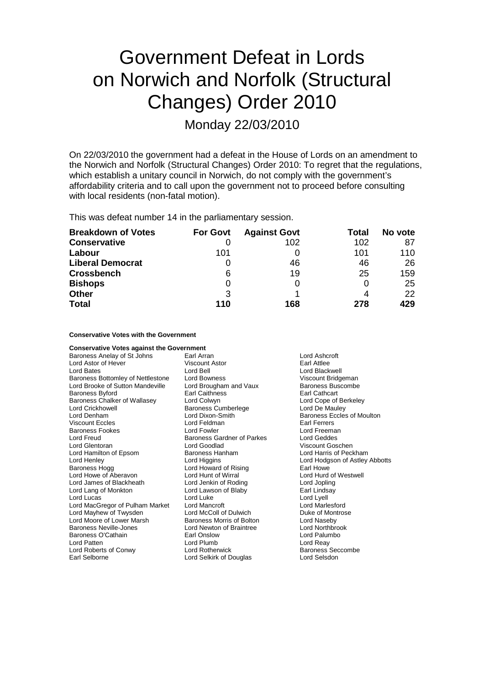# Government Defeat in Lords on Norwich and Norfolk (Structural Changes) Order 2010

Monday 22/03/2010

On 22/03/2010 the government had a defeat in the House of Lords on an amendment to the Norwich and Norfolk (Structural Changes) Order 2010: To regret that the regulations, which establish a unitary council in Norwich, do not comply with the government's affordability criteria and to call upon the government not to proceed before consulting with local residents (non-fatal motion).

This was defeat number 14 in the parliamentary session.

| <b>Breakdown of Votes</b> | <b>For Govt</b> | <b>Against Govt</b> | Total | No vote |
|---------------------------|-----------------|---------------------|-------|---------|
| <b>Conservative</b>       |                 | 102                 | 102   | 87      |
| Labour                    | 101             |                     | 101   | 110     |
| <b>Liberal Democrat</b>   |                 | 46                  | 46    | 26      |
| <b>Crossbench</b>         | 6               | 19                  | 25    | 159     |
| <b>Bishops</b>            | 0               |                     |       | 25      |
| <b>Other</b>              | 3               |                     |       | 22      |
| <b>Total</b>              | 110             | 168                 | 278   | 429     |

### **Conservative Votes with the Government**

| <b>Conservative Votes against the Government</b> |                                   |                                |
|--------------------------------------------------|-----------------------------------|--------------------------------|
| Baroness Anelay of St Johns                      | Earl Arran<br>Lord Ashcroft       |                                |
| Lord Astor of Hever                              | Viscount Astor                    | Earl Attlee                    |
| Lord Bates                                       | Lord Bell                         | Lord Blackwell                 |
| Baroness Bottomley of Nettlestone                | Lord Bowness                      | Viscount Bridgeman             |
| Lord Brooke of Sutton Mandeville                 | Lord Brougham and Vaux            | Baroness Buscombe              |
| <b>Baroness Byford</b>                           | <b>Earl Caithness</b>             | Earl Cathcart                  |
| Baroness Chalker of Wallasey                     | Lord Colwyn                       | Lord Cope of Berkeley          |
| Lord Crickhowell                                 | <b>Baroness Cumberlege</b>        | Lord De Mauley                 |
| Lord Denham                                      | Lord Dixon-Smith                  | Baroness Eccles of Moulton     |
| Viscount Eccles                                  | Lord Feldman                      | Earl Ferrers                   |
| <b>Baroness Fookes</b>                           | Lord Fowler                       | Lord Freeman                   |
| Lord Freud                                       | <b>Baroness Gardner of Parkes</b> | <b>Lord Geddes</b>             |
| Lord Glentoran                                   | Lord Goodlad                      | Viscount Goschen               |
| Lord Hamilton of Epsom                           | Baroness Hanham                   | Lord Harris of Peckham         |
| Lord Henley                                      | Lord Higgins                      | Lord Hodgson of Astley Abbotts |
| Baroness Hogg                                    | Lord Howard of Rising             | Earl Howe                      |
| Lord Howe of Aberavon                            | Lord Hunt of Wirral               | Lord Hurd of Westwell          |
| Lord James of Blackheath                         | Lord Jenkin of Roding             | Lord Jopling                   |
| Lord Lang of Monkton                             | Lord Lawson of Blaby              | Earl Lindsay                   |
| Lord Lucas                                       | Lord Luke                         | Lord Lyell                     |
| Lord MacGregor of Pulham Market                  | Lord Mancroft                     | <b>Lord Marlesford</b>         |
| Lord Mayhew of Twysden                           | Lord McColl of Dulwich            | Duke of Montrose               |
| Lord Moore of Lower Marsh                        | Baroness Morris of Bolton         | Lord Naseby                    |
| Baroness Neville-Jones                           | Lord Newton of Braintree          | Lord Northbrook                |
| Baroness O'Cathain                               | Earl Onslow                       | Lord Palumbo                   |
| Lord Patten                                      | Lord Plumb                        | Lord Reay                      |
| Lord Roberts of Conwy                            | Lord Rotherwick                   | <b>Baroness Seccombe</b>       |
| Earl Selborne                                    | Lord Selkirk of Douglas           | Lord Selsdon                   |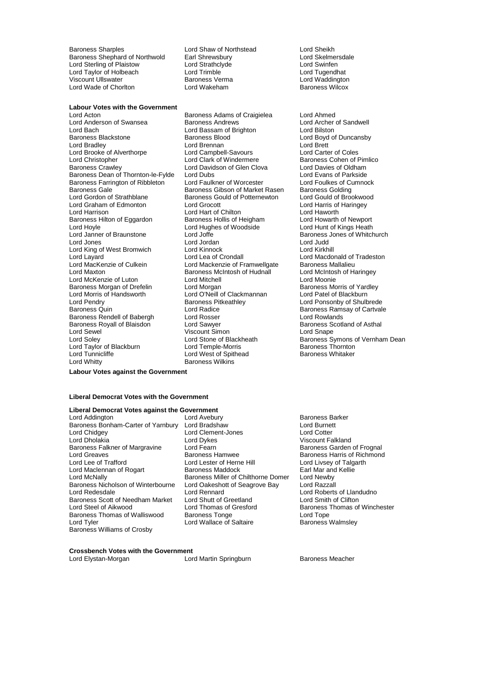Baroness Sharples<br>
Baroness Shephard of Northwold
Earl Shrewsbury
Lord Skelmersdale
Lord Skelmersdale
Lord Skelmersdale
Lord Skelmersdale
Lord Skelmersdale

Lord Skelmersdale

Lord Skelmersdale

Lord Skelmersdale Baroness Shephard of Northwold Earl Shrewsbury **Learly Communist Constructs** Lord Skelmer<br>Lord Sterling of Plaistow Lord Strathclyde **Lord Strathclyde** Lord Swinfen Lord Sterling of Plaistow Lord Strathclyde Cord Strathclyde Lord Swinfen<br>
Lord Taylor of Holbeach Lord Trimble Cord Trimble Lord Tugendhat Lord Taylor of Holbeach Lord Trimble Lord Tugendhat Viscount Ullswater **Baroness Verma** Communist Condess Vermann Music Condess Vermann Lord Waddington<br>The Lord Wadde Condess Wilcox Lord Wade of Chorlton

## **Labour Votes with the Government**

Lord Anderson of Swansea Baroness Andrews Cord Archer Lord Archer Lord Bassam of Brighton<br>
Lord Bach Cord Bassam of Brighton Lord Bilston Lord Bach **Lord Bassam of Brighton**<br>
Baroness Blackstone **Lord Baroness** Blood Lord Bradley **Lord Brennan** Lord Brennan Lord Brett<br>
Lord Brooke of Alverthorpe Lord Campbell-Savours Lord Carte Lord Brooke of Alverthorpe **Lord Campbell-Savours** Lord Carter of Coles<br>
Lord Christopher **Lord Clark of Windermere** Baroness Cohen of P Lord Christopher **Lord Clark of Windermere** Baroness Cohen of Pimlico<br>
Baroness Crawley **Baroness Crawley** Lord Davidson of Glen Clova Lord Davies of Oldham Baroness Dean of Thornton-le-Fylde Lord Dubs Lord Evans of Parkside<br>
Baroness Farrington of Ribbleton Lord Faulkner of Worcester Lord Foulkes of Cumnock Baroness Farrington of Ribbleton Lord Faulkner of Worcester Lord Foulkes of Cumnocks Cumnocks Colding<br>Baroness Gale Baroness Gibson of Market Rasen Baroness Golding Baroness Gale The Baroness Gibson of Market Rasen<br>Lord Gordon of Strathblane The Baroness Gould of Potternewton Lord Gould of Brookwood Lord Graham of Edmonton Lord Grocott Lord Harris of Haringey Baroness Hilton of Eggardon Lord Hoyle **Lord Hughes of Woodside** Lord Hunt of Kings Heath<br>Lord Janner of Braunstone Lord Joffe **Lord August 2016** Baroness Jones of Whitch Lord Jones Lord Jordan Lord Judd Lord King of West Bromwich Lord Kinnock<br>
Lord Layard Cord Lea of Crondall Lord Layard<br>
Lord MacKenzie of Culkein<br>
Lord MacKenzie of Lord Mackenzie of Framwellgate Baroness Mallalieu Lord MacKenzie of Culkein Lord Mackenzie of Framwellgate Baroness Mallalieu<br>
Lord Maxton Cord Maxton Christen Baroness McIntosh of Hudnall Lord McIntosh of Haringey Lord McKenzie of Luton Lord Mitchell Lord Moonie Baroness Morgan of Drefelin Lord Morgan burgan Baroness Morris of Yardley<br>
Lord Morris of Handsworth Lord O'Neill of Clackmannan Lord Patel of Blackburn Lord Morris of Handsworth Lord O'Neill of Clackmannan<br>Lord Pendrv Cord Baroness Pitkeathley Lord Pendry **Communist Pendry Baroness Pitkeathley Lord Ponsonby of Shulbrede**<br>Baroness Quin **Communist Communist Construct Point Communist Point Point Baroness Ramsay of Cartvale** Baroness Rendell of Babergh Lord Rosser Constantine Cord Rowlands<br>
Baroness Rovall of Blaisdon Lord Sawver Cord Baroness Scotland of Asthal Baroness Royall of Blaisdon Lord Sawyer Baroness Scotland Sawyer Baroness Scotland Scotland Asthaland Order Scotland Order Scotland Cord Snape Lord Sewel (Case of Contract Viscount Simon Lord Soley (Case of Blue Contract Oriental Simon Contract Oriental Simon Contract Oriental Simon Contract Oriental Simon Contract Oriental Simon Contract Oriental Simon Contract Lord Taylor of Blackburn Lord Temple-Morris Baroness Thornton

Baroness Adams of Craigielea Lord Ahmed<br>Baroness Andrews **Craigielea** Lord Archer of Sandwell Lord Davidson of Glen Clova Baroness Gould of Potternewton Lord Harrison Lord Hart of Chilton Lord Haworth Lord Joffe Baroness Jones of Whitchurch<br>Lord Jordan Baroness Jones of Whitchurch Baroness McIntosh of Hudnall Lord Radice<br>
Lord Rosser<br>
Lord Rowlands<br>
Lord Rowlands Lord Stone of Blackheath Baroness Symons of Vernham Dean<br>
Lord Temple-Morris **Baroness Thornton** Lord West of Spithead Lord Whitty **Baroness Wilkins** 

# Lord Boyd of Duncansby

### **Labour Votes against the Government**

### **Liberal Democrat Votes with the Government**

# **Liberal Democrat Votes against the Government**

- Baroness Bonham-Carter of Yarnbury Lord Bradshaw Lord Chidgey **Lord Clement-Jones** Lord Cotter<br>
Lord Dholakia **Lord Cotter** Lord Dykes **Lord Cotter** Viscount Fa Baroness Falkner of Margravine Lord Greaves **Baroness Hamwee** Baroness Hamwee Baroness Harris of Richmond Lord Lessen Baroness Haman Lord Livsey of Talgarth Lord Maclennan of Rogart Baroness Maddock Earl Mar and Earl Mar and Earl Mar and Baroness Miller of Chilthorne Domer Lord Newby Baroness Nicholson of Winterbourne Lord Oakeshot<br>Lord Redesdale Lord Rennard Baroness Scott of Needham Market Lord Shutt of Greetland<br>Lord Steel of Aikwood Lord Thomas of Gresford Baroness Thomas of Walliswood Baroness Tonge **Baroness Tomes Constant Constant** Lord Tope<br>
Lord Tord Tope Lord Wallace of Saltaire **Baroness Walmsley** Baroness Williams of Crosby
- Lord Addington Lord Avebury Lord Average Corporation Baroness Barker<br>
Baroness Bonham-Carter of Yarnbury Lord Bradshaw Lord Burnett Lord Dholakia Lord Dykes Viscount Falkland Lord Lester of Herne Hill Lord Livsey of Talgarth<br>
Baroness Maddock Barl Mar and Kellie Baroness Miller of Chilthorne Domer Lord Newby<br>Lord Oakeshott of Seagrove Bay Lord Razzall Lord Rennard **Lord Roberts of Llandudno**<br>
Lord Shutt of Greetland Lord Smith of Clifton Lord Wallace of Saltaire

Baroness Thomas of Winchester

### **Crossbench Votes with the Government**

Lord Elystan-Morgan **Lord Martin Springburn** Baroness Meacher